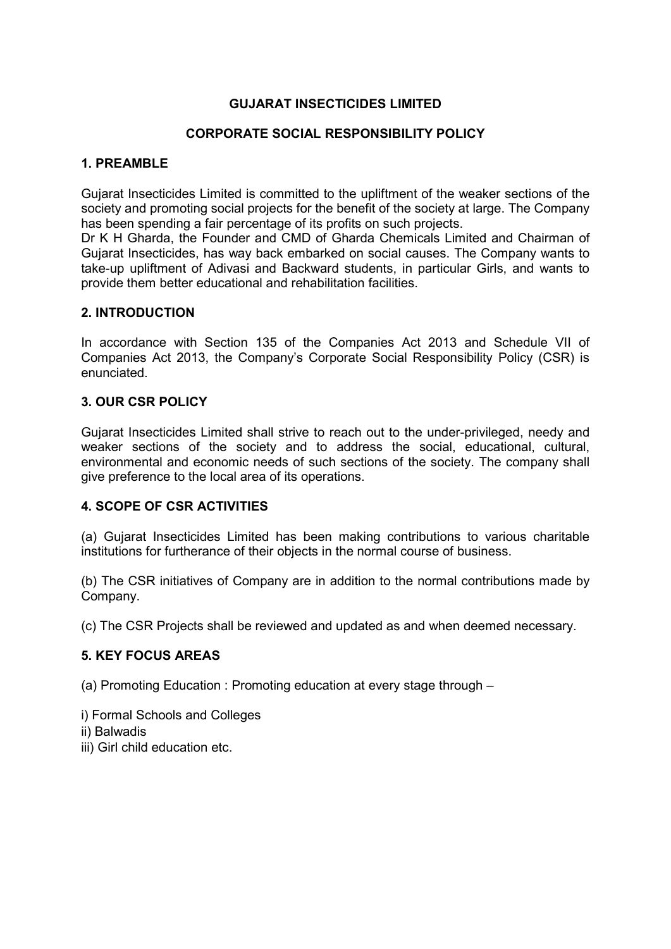# GUJARAT INSECTICIDES LIMITED

## CORPORATE SOCIAL RESPONSIBILITY POLICY

### 1. PREAMBLE

Gujarat Insecticides Limited is committed to the upliftment of the weaker sections of the society and promoting social projects for the benefit of the society at large. The Company has been spending a fair percentage of its profits on such projects.

Dr K H Gharda, the Founder and CMD of Gharda Chemicals Limited and Chairman of Gujarat Insecticides, has way back embarked on social causes. The Company wants to take-up upliftment of Adivasi and Backward students, in particular Girls, and wants to provide them better educational and rehabilitation facilities.

#### 2. INTRODUCTION

In accordance with Section 135 of the Companies Act 2013 and Schedule VII of Companies Act 2013, the Company's Corporate Social Responsibility Policy (CSR) is enunciated.

# 3. OUR CSR POLICY

Gujarat Insecticides Limited shall strive to reach out to the under-privileged, needy and weaker sections of the society and to address the social, educational, cultural, environmental and economic needs of such sections of the society. The company shall give preference to the local area of its operations.

# 4. SCOPE OF CSR ACTIVITIES

(a) Gujarat Insecticides Limited has been making contributions to various charitable institutions for furtherance of their objects in the normal course of business.

(b) The CSR initiatives of Company are in addition to the normal contributions made by Company.

(c) The CSR Projects shall be reviewed and updated as and when deemed necessary.

#### 5. KEY FOCUS AREAS

(a) Promoting Education : Promoting education at every stage through –

i) Formal Schools and Colleges

ii) Balwadis

iii) Girl child education etc.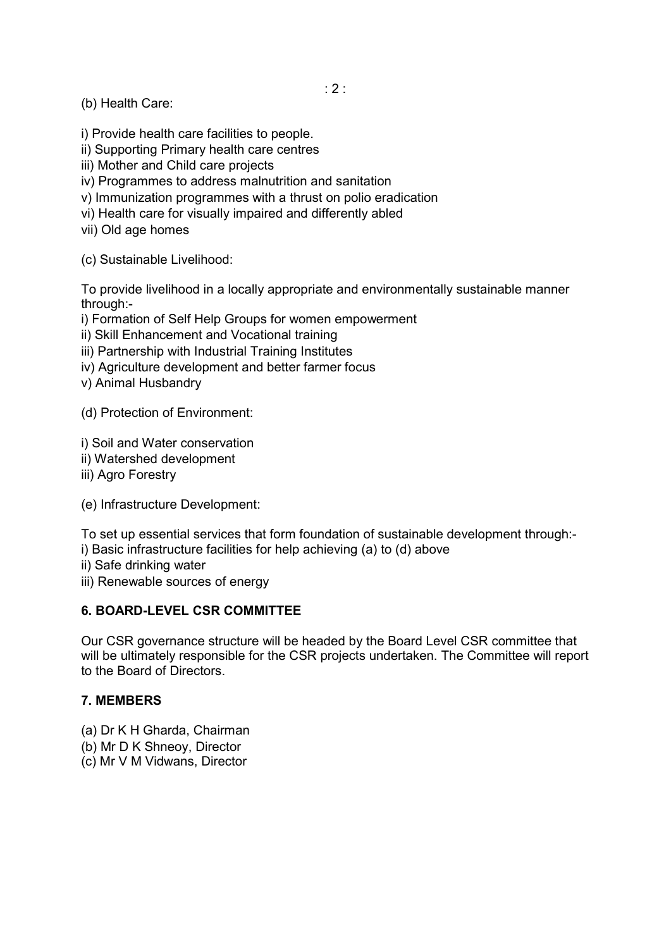(b) Health Care:

- i) Provide health care facilities to people.
- ii) Supporting Primary health care centres
- iii) Mother and Child care projects
- iv) Programmes to address malnutrition and sanitation
- v) Immunization programmes with a thrust on polio eradication
- vi) Health care for visually impaired and differently abled
- vii) Old age homes
- (c) Sustainable Livelihood:

To provide livelihood in a locally appropriate and environmentally sustainable manner through:-

i) Formation of Self Help Groups for women empowerment

- ii) Skill Enhancement and Vocational training
- iii) Partnership with Industrial Training Institutes
- iv) Agriculture development and better farmer focus

v) Animal Husbandry

(d) Protection of Environment:

i) Soil and Water conservation

- ii) Watershed development
- iii) Agro Forestry

(e) Infrastructure Development:

To set up essential services that form foundation of sustainable development through: i) Basic infrastructure facilities for help achieving (a) to (d) above

- ii) Safe drinking water
- iii) Renewable sources of energy

# 6. BOARD-LEVEL CSR COMMITTEE

Our CSR governance structure will be headed by the Board Level CSR committee that will be ultimately responsible for the CSR projects undertaken. The Committee will report to the Board of Directors.

### **7. MEMRERS**

- (a) Dr K H Gharda, Chairman
- (b) Mr D K Shneoy, Director
- (c) Mr V M Vidwans, Director